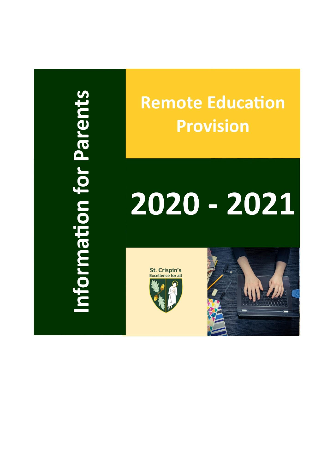nformation for Parents

# **Remote Education Provision**

# 2020 - 2021



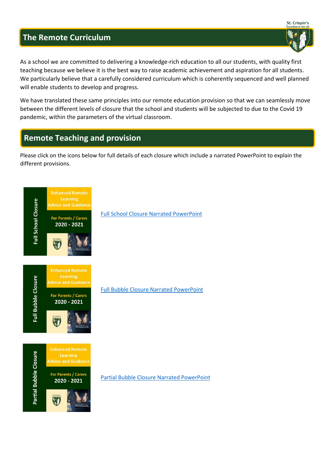## **The Remote Curriculum**

As a school we are committed to delivering a knowledge-rich education to all our students, with quality first teaching because we believe it is the best way to raise academic achievement and aspiration for all students. We particularly believe that a carefully considered curriculum which is coherently sequenced and well planned will enable students to develop and progress.

We have translated these same principles into our remote education provision so that we can seamlessly move between the different levels of closure that the school and students will be subjected to due to the Covid 19 pandemic, within the parameters of the virtual classroom.

# **Remote Teaching and provision**

Please click on the icons below for full details of each closure which include a narrated PowerPoint to explain the different provisions.



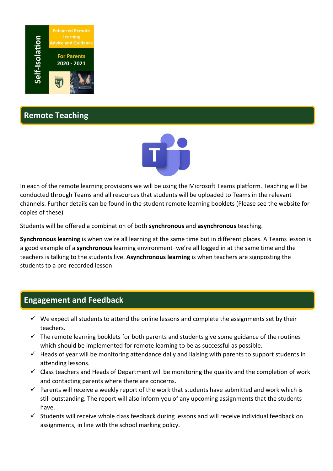

**Remote Teaching** 



In each of the remote learning provisions we will be using the Microsoft Teams platform. Teaching will be conducted through Teams and all resources that students will be uploaded to Teams in the relevant channels. Further details can be found in the student remote learning booklets (Please see the website for copies of these)

Students will be offered a combination of both **synchronous** and **asynchronous** teaching.

**Synchronous learning** is when we're all learning at the same time but in different places. A Teams lesson is a good example of a **synchronous** learning environment–we're all logged in at the same time and the teachers is talking to the students live. **Asynchronous learning** is when teachers are signposting the students to a pre-recorded lesson.

## **Engagement and Feedback**

- $\checkmark$  We expect all students to attend the online lessons and complete the assignments set by their teachers.
- $\checkmark$  The remote learning booklets for both parents and students give some guidance of the routines which should be implemented for remote learning to be as successful as possible.
- $\checkmark$  Heads of year will be monitoring attendance daily and liaising with parents to support students in attending lessons.
- $\checkmark$  Class teachers and Heads of Department will be monitoring the quality and the completion of work and contacting parents where there are concerns.
- $\checkmark$  Parents will receive a weekly report of the work that students have submitted and work which is still outstanding. The report will also inform you of any upcoming assignments that the students have.
- $\checkmark$  Students will receive whole class feedback during lessons and will receive individual feedback on assignments, in line with the school marking policy.